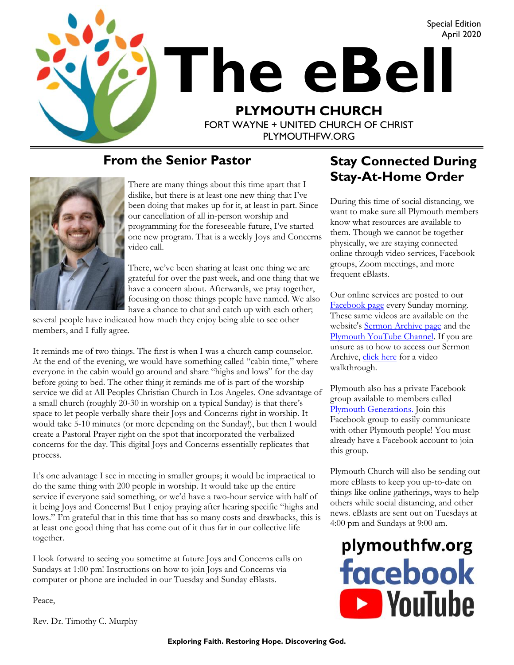

#### **From the Senior Pastor**



There are many things about this time apart that I dislike, but there is at least one new thing that I've been doing that makes up for it, at least in part. Since our cancellation of all in-person worship and programming for the foreseeable future, I've started one new program. That is a weekly Joys and Concerns video call.

There, we've been sharing at least one thing we are grateful for over the past week, and one thing that we have a concern about. Afterwards, we pray together, focusing on those things people have named. We also have a chance to chat and catch up with each other;

several people have indicated how much they enjoy being able to see other members, and I fully agree.

It reminds me of two things. The first is when I was a church camp counselor. At the end of the evening, we would have something called "cabin time," where everyone in the cabin would go around and share "highs and lows" for the day before going to bed. The other thing it reminds me of is part of the worship service we did at All Peoples Christian Church in Los Angeles. One advantage of a small church (roughly 20-30 in worship on a typical Sunday) is that there's space to let people verbally share their Joys and Concerns right in worship. It would take 5-10 minutes (or more depending on the Sunday!), but then I would create a Pastoral Prayer right on the spot that incorporated the verbalized concerns for the day. This digital Joys and Concerns essentially replicates that process.

It's one advantage I see in meeting in smaller groups; it would be impractical to do the same thing with 200 people in worship. It would take up the entire service if everyone said something, or we'd have a two-hour service with half of it being Joys and Concerns! But I enjoy praying after hearing specific "highs and lows." I'm grateful that in this time that has so many costs and drawbacks, this is at least one good thing that has come out of it thus far in our collective life together.

I look forward to seeing you sometime at future Joys and Concerns calls on Sundays at 1:00 pm! Instructions on how to join Joys and Concerns via computer or phone are included in our Tuesday and Sunday eBlasts.

Peace,

Rev. Dr. Timothy C. Murphy

#### **Stay Connected During Stay-At-Home Order**

During this time of social distancing, we want to make sure all Plymouth members know what resources are available to them. Though we cannot be together physically, we are staying connected online through video services, Facebook groups, Zoom meetings, and more frequent eBlasts.

Our online services are posted to our [Facebook page](fb.com/plymouthfw) every Sunday morning. These same videos are available on the website's [Sermon Archive page](https://www.plymouthfw.org/sermon-archive) and the [Plymouth YouTube Channel.](https://www.youtube.com/channel/UC9jMD1iWFiibqBYykkW6E2w) If you are unsure as to how to access our Sermon Archive, [click here](https://www.youtube.com/watch?v=R-19CfTmDeA) for a video walkthrough.

Plymouth also has a private Facebook group available to members called [Plymouth Generations.](https://www.facebook.com/groups/1487066224952817/) Join this Facebook group to easily communicate with other Plymouth people! You must already have a Facebook account to join this group.

Plymouth Church will also be sending out more eBlasts to keep you up-to-date on things like online gatherings, ways to help others while social distancing, and other news. eBlasts are sent out on Tuesdays at 4:00 pm and Sundays at 9:00 am.

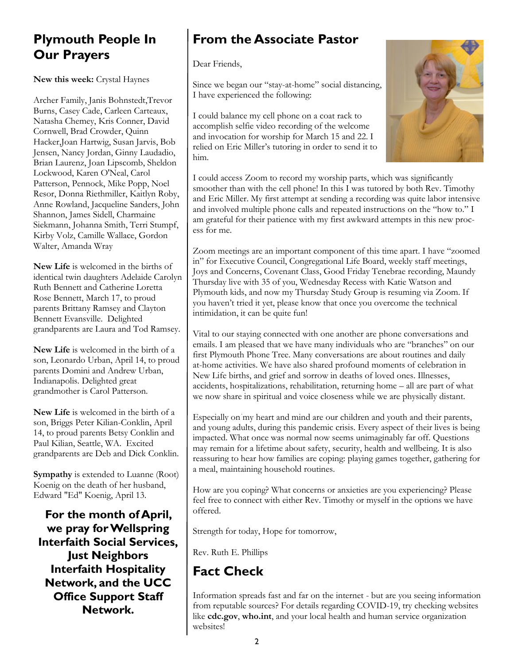#### **Plymouth People In Our Prayers**

**New this week:** Crystal Haynes

Archer Family, Janis Bohnstedt,Trevor Burns, Casey Cade, Carleen Carteaux, Natasha Chemey, Kris Conner, David Cornwell, Brad Crowder, Quinn Hacker,Joan Hartwig, Susan Jarvis, Bob Jensen, Nancy Jordan, Ginny Laudadio, Brian Laurenz, Joan Lipscomb, Sheldon Lockwood, Karen O'Neal, Carol Patterson, Pennock, Mike Popp, Noel Resor, Donna Riethmiller, Kaitlyn Roby, Anne Rowland, Jacqueline Sanders, John Shannon, James Sidell, Charmaine Siekmann, Johanna Smith, Terri Stumpf, Kirby Volz, Camille Wallace, Gordon Walter, Amanda Wray

**New Life** is welcomed in the births of identical twin daughters Adelaide Carolyn Ruth Bennett and Catherine Loretta Rose Bennett, March 17, to proud parents Brittany Ramsey and Clayton Bennett Evansville. Delighted grandparents are Laura and Tod Ramsey.

**New Life** is welcomed in the birth of a son, Leonardo Urban, April 14, to proud parents Domini and Andrew Urban, Indianapolis. Delighted great grandmother is Carol Patterson.

**New Life** is welcomed in the birth of a son, Briggs Peter Kilian-Conklin, April 14, to proud parents Betsy Conklin and Paul Kilian, Seattle, WA. Excited grandparents are Deb and Dick Conklin.

**Sympathy** is extended to Luanne (Root) Koenig on the death of her husband, Edward "Ed" Koenig, April 13.

**For the month of April, we pray for Wellspring Interfaith Social Services, Just Neighbors Interfaith Hospitality Network, and the UCC Office Support Staff Network.**

## **From the Associate Pastor**

Dear Friends,

Since we began our "stay-at-home" social distancing, I have experienced the following:

I could balance my cell phone on a coat rack to accomplish selfie video recording of the welcome and invocation for worship for March 15 and 22. I relied on Eric Miller's tutoring in order to send it to him.



I could access Zoom to record my worship parts, which was significantly smoother than with the cell phone! In this I was tutored by both Rev. Timothy and Eric Miller. My first attempt at sending a recording was quite labor intensive and involved multiple phone calls and repeated instructions on the "how to." I am grateful for their patience with my first awkward attempts in this new process for me.

Zoom meetings are an important component of this time apart. I have "zoomed in" for Executive Council, Congregational Life Board, weekly staff meetings, Joys and Concerns, Covenant Class, Good Friday Tenebrae recording, Maundy Thursday live with 35 of you, Wednesday Recess with Katie Watson and Plymouth kids, and now my Thursday Study Group is resuming via Zoom. If you haven't tried it yet, please know that once you overcome the technical intimidation, it can be quite fun!

Vital to our staying connected with one another are phone conversations and emails. I am pleased that we have many individuals who are "branches" on our first Plymouth Phone Tree. Many conversations are about routines and daily at-home activities. We have also shared profound moments of celebration in New Life births, and grief and sorrow in deaths of loved ones. Illnesses, accidents, hospitalizations, rehabilitation, returning home – all are part of what we now share in spiritual and voice closeness while we are physically distant.

Especially on my heart and mind are our children and youth and their parents, and young adults, during this pandemic crisis. Every aspect of their lives is being impacted. What once was normal now seems unimaginably far off. Questions may remain for a lifetime about safety, security, health and wellbeing. It is also reassuring to hear how families are coping: playing games together, gathering for a meal, maintaining household routines.

How are you coping? What concerns or anxieties are you experiencing? Please feel free to connect with either Rev. Timothy or myself in the options we have offered.

Strength for today, Hope for tomorrow,

Rev. Ruth E. Phillips

# **Fact Check**

Information spreads fast and far on the internet - but are you seeing information from reputable sources? For details regarding COVID-19, try checking websites like **cdc.gov**, **who.int**, and your local health and human service organization websites!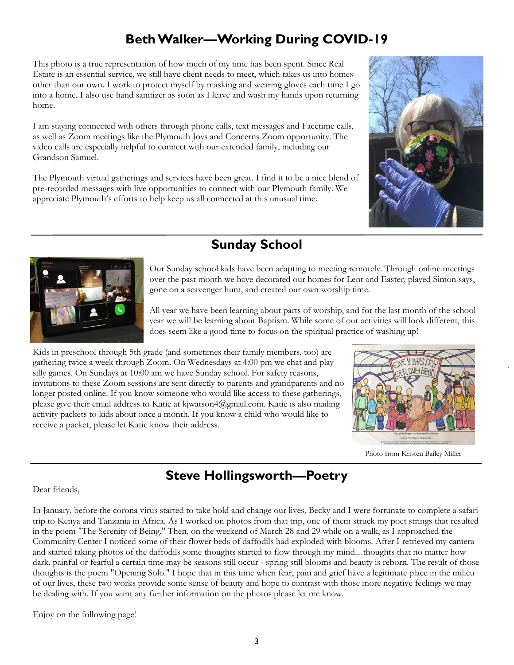# **Beth Walker—Working During COVID-19**

This photo is a true representation of how much of my time has been spent. Since Real Estate is an essential service, we still have client needs to meet, which takes us into homes other than our own. I work to protect myself by masking and wearing gloves each time I go into a home. I also use hand sanitizer as soon as I leave and wash my hands upon returning home.

I am staying connected with others through phone calls, text messages and Facetime calls, as well as Zoom meetings like the Plymouth Joys and Concerns Zoom opportunity. The video calls are especially helpful to connect with our extended family, including our Grandson Samuel.

The Plymouth virtual gatherings and services have been great. I find it to be a nice blend of pre-recorded messages with live opportunities to connect with our Plymouth family. We appreciate Plymouth's efforts to help keep us all connected at this unusual time.





## **Sunday School**

Our Sunday school kids have been adapting to meeting remotely. Through online meetings over the past month we have decorated our homes for Lent and Easter, played Simon says, gone on a scavenger hunt, and created our own worship time.

All year we have been learning about parts of worship, and for the last month of the school year we will be learning about Baptism. While some of our activities will look different, this does seem like a good time to focus on the spiritual practice of washing up!

Kids in preschool through 5th grade (and sometimes their family members, too) are gathering twice a week through Zoom. On Wednesdays at 4:00 pm we chat and play silly games. On Sundays at 10:00 am we have Sunday school. For safety reasons, invitations to these Zoom sessions are sent directly to parents and grandparents and no longer posted online. If you know someone who would like access to these gatherings, please give their email address to Katie at kjwatson4@gmail.com. Katie is also mailing activity packets to kids about once a month. If you know a child who would like to receive a packet, please let Katie know their address.



Photo from Kristen Bailey Miller

# **Steve Hollingsworth—Poetry**

#### Dear friends,

In January, before the corona virus started to take hold and change our lives, Becky and I were fortunate to complete a safari trip to Kenya and Tanzania in Africa. As I worked on photos from that trip, one of them struck my poet strings that resulted in the poem "The Serenity of Being." Then, on the weekend of March 28 and 29 while on a walk, as I approached the Community Center I noticed some of their flower beds of daffodils had exploded with blooms. After I retrieved my camera and started taking photos of the daffodils some thoughts started to flow through my mind....thoughts that no matter how dark, painful or fearful a certain time may be seasons still occur - spring still blooms and beauty is reborn. The result of those thoughts is the poem "Opening Solo." I hope that in this time when fear, pain and grief have a legitimate place in the milieu of our lives, these two works provide some sense of beauty and hope to contrast with those more negative feelings we may be dealing with. If you want any further information on the photos please let me know.

Enjoy on the following page!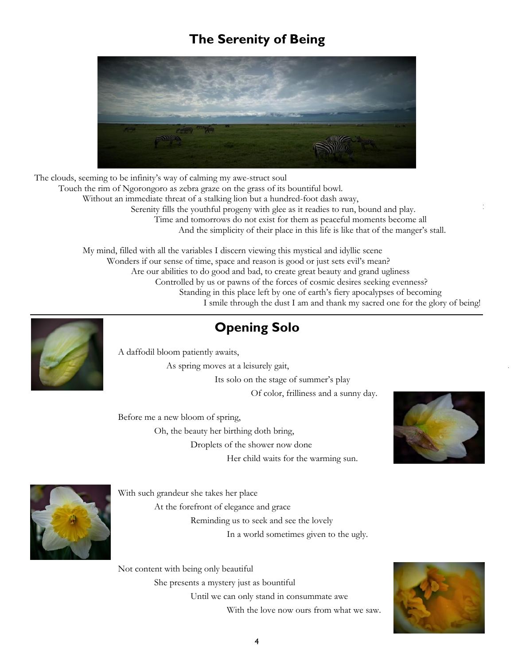## **The Serenity of Being**



The clouds, seeming to be infinity's way of calming my awe-struct soul Touch the rim of Ngorongoro as zebra graze on the grass of its bountiful bowl. Without an immediate threat of a stalking lion but a hundred-foot dash away, Serenity fills the youthful progeny with glee as it readies to run, bound and play. Time and tomorrows do not exist for them as peaceful moments become all And the simplicity of their place in this life is like that of the manger's stall.

> My mind, filled with all the variables I discern viewing this mystical and idyllic scene Wonders if our sense of time, space and reason is good or just sets evil's mean? Are our abilities to do good and bad, to create great beauty and grand ugliness Controlled by us or pawns of the forces of cosmic desires seeking evenness? Standing in this place left by one of earth's fiery apocalypses of becoming I smile through the dust I am and thank my sacred one for the glory of being!



# **Opening Solo**

A daffodil bloom patiently awaits,

As spring moves at a leisurely gait,

Its solo on the stage of summer's play Of color, frilliness and a sunny day.

Before me a new bloom of spring,

Oh, the beauty her birthing doth bring,

Droplets of the shower now done

Her child waits for the warming sun.





With such grandeur she takes her place At the forefront of elegance and grace Reminding us to seek and see the lovely In a world sometimes given to the ugly.

Not content with being only beautiful She presents a mystery just as bountiful Until we can only stand in consummate awe With the love now ours from what we saw.